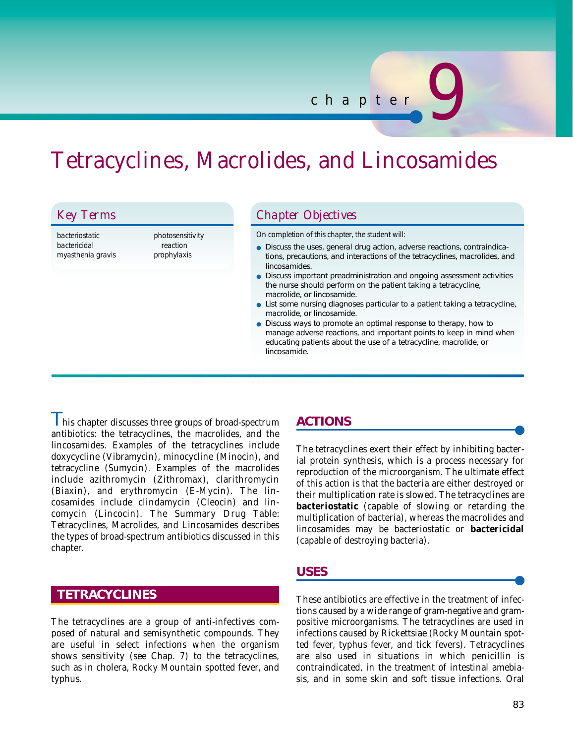# Tetracyclines, Macrolides, and Lincosamides

# *Key Terms*

*bacteriostatic bactericidal myasthenia gravis* *photosensitivity reaction prophylaxis*

# *Chapter Objectives*

*On completion of this chapter, the student will:*

● Discuss the uses, general drug action, adverse reactions, contraindications, precautions, and interactions of the tetracyclines, macrolides, and lincosamides.

*chapter*

9

- Discuss important preadministration and ongoing assessment activities the nurse should perform on the patient taking a tetracycline, macrolide, or lincosamide.
- List some nursing diagnoses particular to a patient taking a tetracycline, macrolide, or lincosamide.
- Discuss ways to promote an optimal response to therapy, how to manage adverse reactions, and important points to keep in mind when educating patients about the use of a tetracycline, macrolide, or lincosamide.

I his chapter discusses three groups of broad-spectrum antibiotics: the tetracyclines, the macrolides, and the lincosamides. Examples of the tetracyclines include doxycycline (Vibramycin), minocycline (Minocin), and tetracycline (Sumycin). Examples of the macrolides include azithromycin (Zithromax), clarithromycin (Biaxin), and erythromycin (E-Mycin). The lincosamides include clindamycin (Cleocin) and lincomycin (Lincocin). The Summary Drug Table: Tetracyclines, Macrolides, and Lincosamides describes the types of broad-spectrum antibiotics discussed in this chapter.

# **TETRACYCLINES**

The tetracyclines are a group of anti-infectives composed of natural and semisynthetic compounds. They are useful in select infections when the organism shows sensitivity (see Chap. 7) to the tetracyclines, such as in cholera, Rocky Mountain spotted fever, and typhus.

# **ACTIONS** ●

The tetracyclines exert their effect by inhibiting bacterial protein synthesis, which is a process necessary for reproduction of the microorganism. The ultimate effect of this action is that the bacteria are either destroyed or their multiplication rate is slowed. The tetracyclines are **bacteriostatic** (capable of slowing or retarding the multiplication of bacteria), whereas the macrolides and lincosamides may be bacteriostatic or **bactericidal** (capable of destroying bacteria).

# **USES** ●

These antibiotics are effective in the treatment of infections caused by a wide range of gram-negative and grampositive microorganisms. The tetracyclines are used in infections caused by Rickettsiae (Rocky Mountain spotted fever, typhus fever, and tick fevers). Tetracyclines are also used in situations in which penicillin is contraindicated, in the treatment of intestinal amebiasis, and in some skin and soft tissue infections. Oral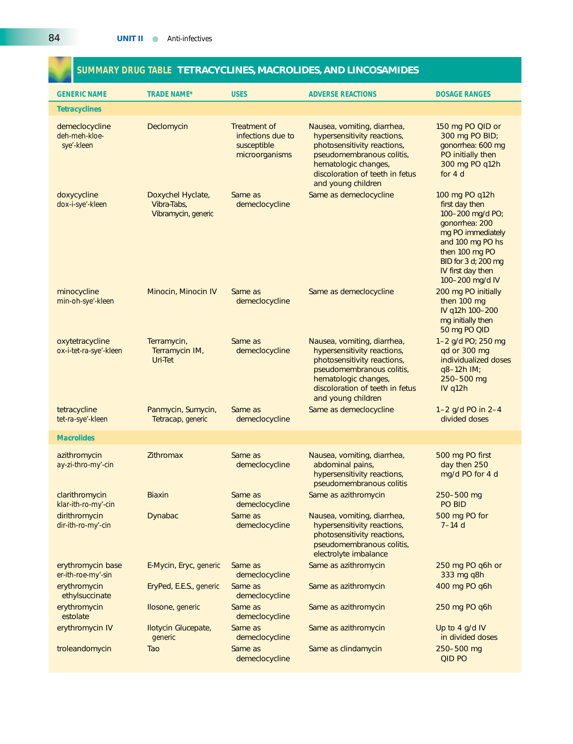# **SUMMARY DRUG TABLE TETRACYCLINES, MACROLIDES, AND LINCOSAMIDES**

| <b>GENERIC NAME</b>                           | <b>TRADE NAME*</b>                                      | <b>USES</b>                                                        | <b>ADVERSE REACTIONS</b>                                                                                                                                                                                | <b>DOSAGE RANGES</b>                                                                                                                                                                             |
|-----------------------------------------------|---------------------------------------------------------|--------------------------------------------------------------------|---------------------------------------------------------------------------------------------------------------------------------------------------------------------------------------------------------|--------------------------------------------------------------------------------------------------------------------------------------------------------------------------------------------------|
| <b>Tetracyclines</b>                          |                                                         |                                                                    |                                                                                                                                                                                                         |                                                                                                                                                                                                  |
| demeclocycline<br>deh-meh-kloe-<br>sye'-kleen | Declomycin                                              | Treatment of<br>infections due to<br>susceptible<br>microorganisms | Nausea, vomiting, diarrhea,<br>hypersensitivity reactions,<br>photosensitivity reactions,<br>pseudomembranous colitis,<br>hematologic changes,<br>discoloration of teeth in fetus<br>and young children | 150 mg PO QID or<br>300 mg PO BID;<br>gonorrhea: 600 mg<br>PO initially then<br>300 mg PO q12h<br>for $4d$                                                                                       |
| doxycycline<br>dox-i-sye'-kleen               | Doxychel Hyclate,<br>Vibra-Tabs,<br>Vibramycin, generic | Same as<br>demeclocycline                                          | Same as demeclocycline                                                                                                                                                                                  | 100 mg PO q12h<br>first day then<br>100-200 mg/d PO;<br>gonorrhea: 200<br>mg PO immediately<br>and 100 mg PO hs<br>then 100 mg PO<br>BID for 3 d; 200 mg<br>IV first day then<br>100-200 mg/d IV |
| minocycline<br>min-oh-sye'-kleen              | Minocin, Minocin IV                                     | Same as<br>demeclocycline                                          | Same as demeclocycline                                                                                                                                                                                  | 200 mg PO initially<br>then 100 mg<br>IV q12h 100-200<br>mg initially then<br>50 mg PO QID                                                                                                       |
| oxytetracycline<br>ox-i-tet-ra-sye'-kleen     | Terramycin,<br>Terramycin IM,<br>Uri-Tet                | Same as<br>demeclocycline                                          | Nausea, vomiting, diarrhea,<br>hypersensitivity reactions,<br>photosensitivity reactions,<br>pseudomembranous colitis,<br>hematologic changes,<br>discoloration of teeth in fetus<br>and young children | 1-2 g/d PO; 250 mg<br>gd or 300 mg<br>individualized doses<br>q8-12h IM;<br>250-500 mg<br>IV $q12h$                                                                                              |
| tetracycline<br>tet-ra-sye'-kleen             | Panmycin, Sumycin,<br>Tetracap, generic                 | Same as<br>demeclocycline                                          | Same as demeclocycline                                                                                                                                                                                  | 1-2 g/d PO in 2-4<br>divided doses                                                                                                                                                               |
| <b>Macrolides</b>                             |                                                         |                                                                    |                                                                                                                                                                                                         |                                                                                                                                                                                                  |
| azithromycin<br>ay-zi-thro-my'-cin            | <b>Zithromax</b>                                        | Same as<br>demeclocycline                                          | Nausea, vomiting, diarrhea,<br>abdominal pains,<br>hypersensitivity reactions,<br>pseudomembranous colitis                                                                                              | 500 mg PO first<br>day then 250<br>mg/d PO for 4 d                                                                                                                                               |
| clarithromycin<br>klar-ith-ro-my'-cin         | <b>Biaxin</b>                                           | Same as<br>demeclocycline                                          | Same as azithromycin                                                                                                                                                                                    | 250-500 mg<br>PO BID                                                                                                                                                                             |
| dirithromycin<br>dir-ith-ro-my'-cin           | <b>Dynabac</b>                                          | Same as<br>demeclocycline                                          | Nausea, vomiting, diarrhea,<br>hypersensitivity reactions,<br>photosensitivity reactions,<br>pseudomembranous colitis,<br>electrolyte imbalance                                                         | 500 mg PO for<br>$7 - 14$ d                                                                                                                                                                      |
| erythromycin base<br>er-ith-roe-my'-sin       | E-Mycin, Eryc, generic                                  | Same as<br>demeclocycline                                          | Same as azithromycin                                                                                                                                                                                    | 250 mg PO q6h or<br>333 mg q8h                                                                                                                                                                   |
| erythromycin<br>ethylsuccinate                | EryPed, E.E.S., generic                                 | Same as<br>demeclocycline                                          | Same as azithromycin                                                                                                                                                                                    | 400 mg PO g6h                                                                                                                                                                                    |
| erythromycin<br>estolate                      | Ilosone, generic                                        | Same as<br>demeclocycline                                          | Same as azithromycin                                                                                                                                                                                    | 250 mg PO q6h                                                                                                                                                                                    |
| erythromycin IV                               | <b>Ilotycin Glucepate,</b><br>generic                   | Same as<br>demeclocycline                                          | Same as azithromycin                                                                                                                                                                                    | Up to 4 $g/d$ IV<br>in divided doses                                                                                                                                                             |
| troleandomycin                                | Tao                                                     | Same as<br>demeclocycline                                          | Same as clindamycin                                                                                                                                                                                     | 250-500 mg<br>QID PO                                                                                                                                                                             |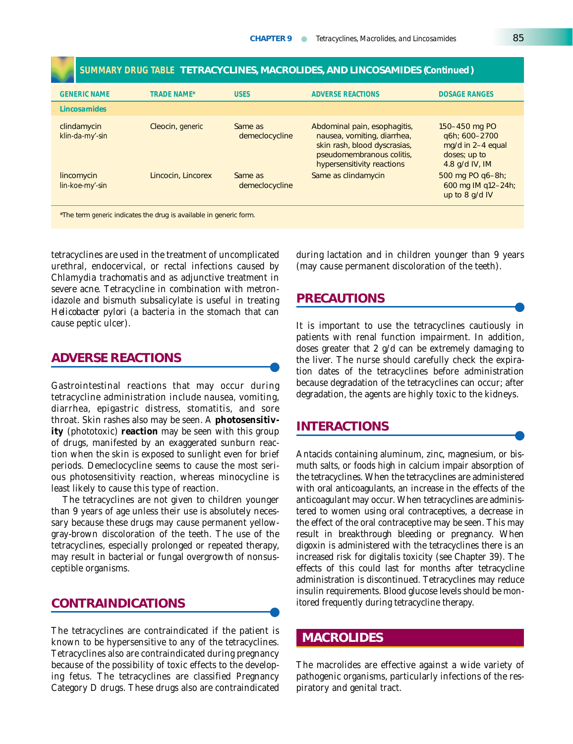| <b>GENERIC NAME</b>                                                       | <b>TRADE NAME*</b> | <b>USES</b>               | <b>ADVERSE REACTIONS</b>                                                                                                                               | <b>DOSAGE RANGES</b>                                                                  |  |
|---------------------------------------------------------------------------|--------------------|---------------------------|--------------------------------------------------------------------------------------------------------------------------------------------------------|---------------------------------------------------------------------------------------|--|
| <b>Lincosamides</b>                                                       |                    |                           |                                                                                                                                                        |                                                                                       |  |
| clindamycin<br>klin-da-my'-sin                                            | Cleocin, generic   | Same as<br>demeclocycline | Abdominal pain, esophagitis,<br>nausea, vomiting, diarrhea,<br>skin rash, blood dyscrasias,<br>pseudomembranous colitis,<br>hypersensitivity reactions | 150-450 mg PO<br>q6h; 600-2700<br>mg/d in 2-4 equal<br>doses; up to<br>4.8 g/d IV, IM |  |
| lincomycin<br>lin-koe-my'-sin                                             | Lincocin, Lincorex | Same as<br>demeclocycline | Same as clindamycin                                                                                                                                    | 500 mg PO g6-8h;<br>600 mg IM g12-24h;<br>up to 8 g/d IV                              |  |
| *The term <i>generic</i> indicates the drug is available in generic form. |                    |                           |                                                                                                                                                        |                                                                                       |  |

tetracyclines are used in the treatment of uncomplicated urethral, endocervical, or rectal infections caused by *Chlamydia trachomatis* and as adjunctive treatment in severe acne. Tetracycline in combination with metronidazole and bismuth subsalicylate is useful in treating *Helicobacter pylori* (a bacteria in the stomach that can cause peptic ulcer).

#### **ADVERSE REACTIONS** ●

Gastrointestinal reactions that may occur during tetracycline administration include nausea, vomiting, diarrhea, epigastric distress, stomatitis, and sore throat. Skin rashes also may be seen. A **photosensitivity** (phototoxic) **reaction** may be seen with this group of drugs, manifested by an exaggerated sunburn reaction when the skin is exposed to sunlight even for brief periods. Demeclocycline seems to cause the most serious photosensitivity reaction, whereas minocycline is least likely to cause this type of reaction.

The tetracyclines are not given to children younger than 9 years of age unless their use is absolutely necessary because these drugs may cause permanent yellowgray-brown discoloration of the teeth. The use of the tetracyclines, especially prolonged or repeated therapy, may result in bacterial or fungal overgrowth of nonsusceptible organisms.

#### **CONTRAINDICATIONS** ●

The tetracyclines are contraindicated if the patient is known to be hypersensitive to any of the tetracyclines. Tetracyclines also are contraindicated during pregnancy because of the possibility of toxic effects to the developing fetus. The tetracyclines are classified Pregnancy Category D drugs. These drugs also are contraindicated

during lactation and in children younger than 9 years (may cause permanent discoloration of the teeth).

#### **PRECAUTIONS**

It is important to use the tetracyclines cautiously in patients with renal function impairment. In addition, doses greater that 2 g/d can be extremely damaging to the liver. The nurse should carefully check the expiration dates of the tetracyclines before administration because degradation of the tetracyclines can occur; after degradation, the agents are highly toxic to the kidneys.

#### **INTERACTIONS**

Antacids containing aluminum, zinc, magnesium, or bismuth salts, or foods high in calcium impair absorption of the tetracyclines. When the tetracyclines are administered with oral anticoagulants, an increase in the effects of the anticoagulant may occur. When tetracyclines are administered to women using oral contraceptives, a decrease in the effect of the oral contraceptive may be seen. This may result in breakthrough bleeding or pregnancy. When digoxin is administered with the tetracyclines there is an increased risk for digitalis toxicity (see Chapter 39). The effects of this could last for months after tetracycline administration is discontinued. Tetracyclines may reduce insulin requirements. Blood glucose levels should be monitored frequently during tetracycline therapy.

## **MACROLIDES**

The macrolides are effective against a wide variety of pathogenic organisms, particularly infections of the respiratory and genital tract.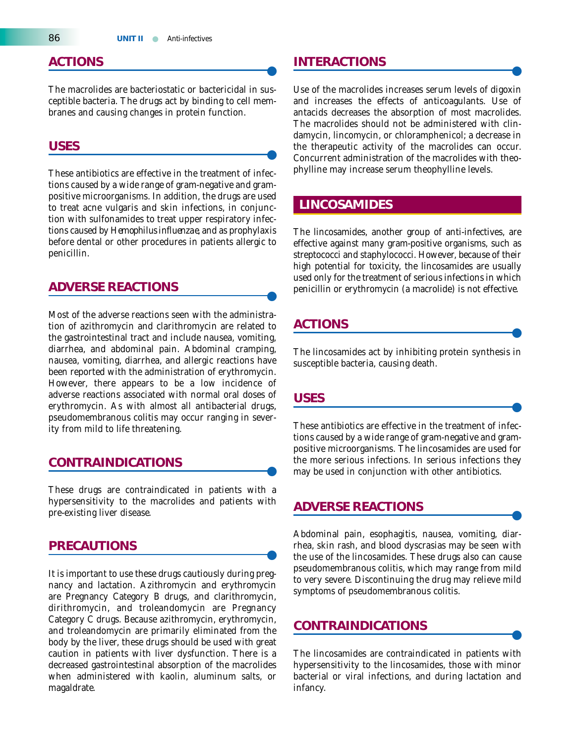# **ACTIONS** ●

The macrolides are bacteriostatic or bactericidal in susceptible bacteria. The drugs act by binding to cell membranes and causing changes in protein function.

# **USES** ●

These antibiotics are effective in the treatment of infections caused by a wide range of gram-negative and grampositive microorganisms. In addition, the drugs are used to treat acne vulgaris and skin infections, in conjunction with sulfonamides to treat upper respiratory infections caused by *Hemophilus influenzae,* and as prophylaxis before dental or other procedures in patients allergic to penicillin.

# **ADVERSE REACTIONS** ●

Most of the adverse reactions seen with the administration of azithromycin and clarithromycin are related to the gastrointestinal tract and include nausea, vomiting, diarrhea, and abdominal pain. Abdominal cramping, nausea, vomiting, diarrhea, and allergic reactions have been reported with the administration of erythromycin. However, there appears to be a low incidence of adverse reactions associated with normal oral doses of erythromycin. As with almost all antibacterial drugs, pseudomembranous colitis may occur ranging in severity from mild to life threatening.

### **CONTRAINDICATIONS** ●

These drugs are contraindicated in patients with a hypersensitivity to the macrolides and patients with pre-existing liver disease.

#### **PRECAUTIONS**

It is important to use these drugs cautiously during pregnancy and lactation. Azithromycin and erythromycin are Pregnancy Category B drugs, and clarithromycin, dirithromycin, and troleandomycin are Pregnancy Category C drugs. Because azithromycin, erythromycin, and troleandomycin are primarily eliminated from the body by the liver, these drugs should be used with great caution in patients with liver dysfunction. There is a decreased gastrointestinal absorption of the macrolides when administered with kaolin, aluminum salts, or magaldrate.

# **INTERACTIONS**

Use of the macrolides increases serum levels of digoxin and increases the effects of anticoagulants. Use of antacids decreases the absorption of most macrolides. The macrolides should not be administered with clindamycin, lincomycin, or chloramphenicol; a decrease in the therapeutic activity of the macrolides can occur. Concurrent administration of the macrolides with theophylline may increase serum theophylline levels.

# **LINCOSAMIDES**

The lincosamides, another group of anti-infectives, are effective against many gram-positive organisms, such as streptococci and staphylococci. However, because of their high potential for toxicity, the lincosamides are usually used only for the treatment of serious infections in which penicillin or erythromycin (a macrolide) is not effective.

# **ACTIONS** ●

The lincosamides act by inhibiting protein synthesis in susceptible bacteria, causing death.

# **USES** ●

These antibiotics are effective in the treatment of infections caused by a wide range of gram-negative and grampositive microorganisms. The lincosamides are used for the more serious infections. In serious infections they may be used in conjunction with other antibiotics.

## **ADVERSE REACTIONS** ●

Abdominal pain, esophagitis, nausea, vomiting, diarrhea, skin rash, and blood dyscrasias may be seen with the use of the lincosamides. These drugs also can cause pseudomembranous colitis, which may range from mild to very severe. Discontinuing the drug may relieve mild symptoms of pseudomembranous colitis.

# **CONTRAINDICATIONS** ●

The lincosamides are contraindicated in patients with hypersensitivity to the lincosamides, those with minor bacterial or viral infections, and during lactation and infancy.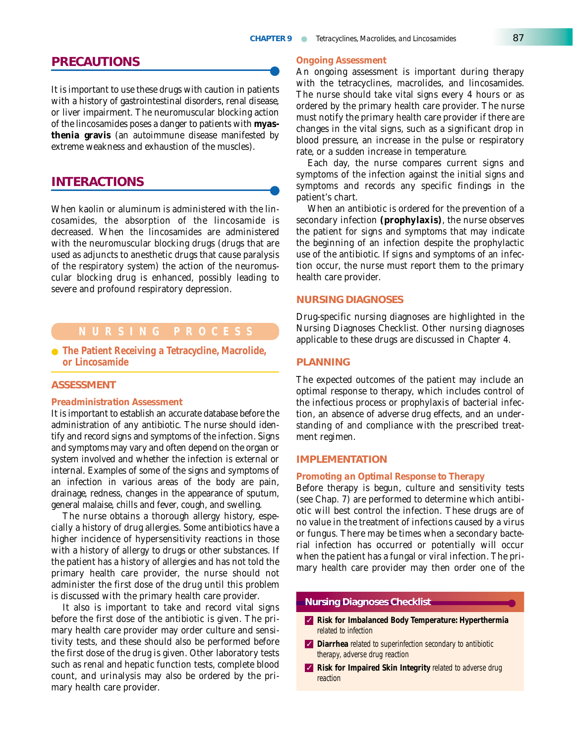# **PRECAUTIONS**

It is important to use these drugs with caution in patients with a history of gastrointestinal disorders, renal disease, or liver impairment. The neuromuscular blocking action of the lincosamides poses a danger to patients with **myasthenia gravis** (an autoimmune disease manifested by extreme weakness and exhaustion of the muscles).

# **INTERACTIONS**

When kaolin or aluminum is administered with the lincosamides, the absorption of the lincosamide is decreased. When the lincosamides are administered with the neuromuscular blocking drugs (drugs that are used as adjuncts to anesthetic drugs that cause paralysis of the respiratory system) the action of the neuromuscular blocking drug is enhanced, possibly leading to severe and profound respiratory depression.

● **The Patient Receiving a Tetracycline, Macrolide, or Lincosamide**

#### **ASSESSMENT**

#### *Preadministration Assessment*

It is important to establish an accurate database before the administration of any antibiotic. The nurse should identify and record signs and symptoms of the infection. Signs and symptoms may vary and often depend on the organ or system involved and whether the infection is external or internal. Examples of some of the signs and symptoms of an infection in various areas of the body are pain, drainage, redness, changes in the appearance of sputum, general malaise, chills and fever, cough, and swelling.

The nurse obtains a thorough allergy history, especially a history of drug allergies. Some antibiotics have a higher incidence of hypersensitivity reactions in those with a history of allergy to drugs or other substances. If the patient has a history of allergies and has not told the primary health care provider, the nurse should not administer the first dose of the drug until this problem is discussed with the primary health care provider.

It also is important to take and record vital signs before the first dose of the antibiotic is given. The primary health care provider may order culture and sensitivity tests, and these should also be performed before the first dose of the drug is given. Other laboratory tests such as renal and hepatic function tests, complete blood count, and urinalysis may also be ordered by the primary health care provider.

#### *Ongoing Assessment*

An ongoing assessment is important during therapy with the tetracyclines, macrolides, and lincosamides. The nurse should take vital signs every 4 hours or as ordered by the primary health care provider. The nurse must notify the primary health care provider if there are changes in the vital signs, such as a significant drop in blood pressure, an increase in the pulse or respiratory rate, or a sudden increase in temperature.

Each day, the nurse compares current signs and symptoms of the infection against the initial signs and symptoms and records any specific findings in the patient's chart.

When an antibiotic is ordered for the prevention of a secondary infection **(prophylaxis)**, the nurse observes the patient for signs and symptoms that may indicate the beginning of an infection despite the prophylactic use of the antibiotic. If signs and symptoms of an infection occur, the nurse must report them to the primary health care provider.

#### **NURSING DIAGNOSES**

Drug-specific nursing diagnoses are highlighted in the Nursing Diagnoses Checklist. Other nursing diagnoses applicable to these drugs are discussed in Chapter 4.

#### **PLANNING**

The expected outcomes of the patient may include an optimal response to therapy, which includes control of the infectious process or prophylaxis of bacterial infection, an absence of adverse drug effects, and an understanding of and compliance with the prescribed treatment regimen.

#### **IMPLEMENTATION**

#### *Promoting an Optimal Response to Therapy*

Before therapy is begun, culture and sensitivity tests (see Chap. 7) are performed to determine which antibiotic will best control the infection. These drugs are of no value in the treatment of infections caused by a virus or fungus. There may be times when a secondary bacterial infection has occurred or potentially will occur when the patient has a fungal or viral infection. The primary health care provider may then order one of the

#### **Nursing Diagnoses Checklist**

- ✓ **Risk for Imbalanced Body Temperature: Hyperthermia** related to infection
- ✓ **Diarrhea** related to superinfection secondary to antibiotic therapy, adverse drug reaction
- ✓ **Risk for Impaired Skin Integrity** related to adverse drug reaction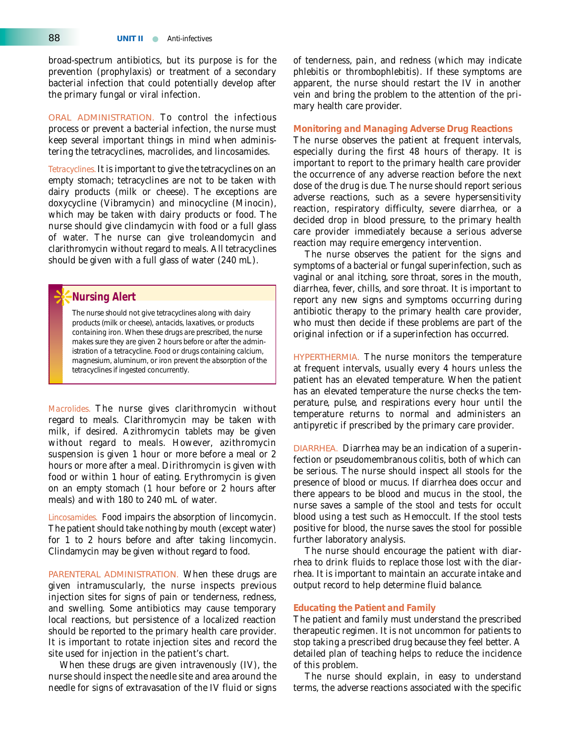broad-spectrum antibiotics, but its purpose is for the prevention (prophylaxis) or treatment of a secondary bacterial infection that could potentially develop after the primary fungal or viral infection.

ORAL ADMINISTRATION. To control the infectious process or prevent a bacterial infection, the nurse must keep several important things in mind when administering the tetracyclines, macrolides, and lincosamides.

*Tetracyclines.* It is important to give the tetracyclines on an empty stomach; tetracyclines are not to be taken with dairy products (milk or cheese). The exceptions are doxycycline (Vibramycin) and minocycline (Minocin), which may be taken with dairy products or food. The nurse should give clindamycin with food or a full glass of water. The nurse can give troleandomycin and clarithromycin without regard to meals. All tetracyclines should be given with a full glass of water (240 mL).

#### ❊**Nursing Alert**

*The nurse should not give tetracyclines along with dairy products (milk or cheese), antacids, laxatives, or products containing iron. When these drugs are prescribed, the nurse makes sure they are given 2 hours before or after the administration of a tetracycline. Food or drugs containing calcium, magnesium, aluminum, or iron prevent the absorption of the tetracyclines if ingested concurrently.*

*Macrolides.* The nurse gives clarithromycin without regard to meals. Clarithromycin may be taken with milk, if desired. Azithromycin tablets may be given without regard to meals. However, azithromycin suspension is given 1 hour or more before a meal or 2 hours or more after a meal. Dirithromycin is given with food or within 1 hour of eating. Erythromycin is given on an empty stomach (1 hour before or 2 hours after meals) and with 180 to 240 mL of water.

*Lincosamides.* Food impairs the absorption of lincomycin. The patient should take nothing by mouth (except water) for 1 to 2 hours before and after taking lincomycin. Clindamycin may be given without regard to food.

PARENTERAL ADMINISTRATION. When these drugs are given intramuscularly, the nurse inspects previous injection sites for signs of pain or tenderness, redness, and swelling. Some antibiotics may cause temporary local reactions, but persistence of a localized reaction should be reported to the primary health care provider. It is important to rotate injection sites and record the site used for injection in the patient's chart.

When these drugs are given intravenously (IV), the nurse should inspect the needle site and area around the needle for signs of extravasation of the IV fluid or signs of tenderness, pain, and redness (which may indicate phlebitis or thrombophlebitis). If these symptoms are apparent, the nurse should restart the IV in another vein and bring the problem to the attention of the primary health care provider.

#### *Monitoring and Managing Adverse Drug Reactions*

The nurse observes the patient at frequent intervals, especially during the first 48 hours of therapy. It is important to report to the primary health care provider the occurrence of any adverse reaction before the next dose of the drug is due. The nurse should report serious adverse reactions, such as a severe hypersensitivity reaction, respiratory difficulty, severe diarrhea, or a decided drop in blood pressure, to the primary health care provider immediately because a serious adverse reaction may require emergency intervention.

The nurse observes the patient for the signs and symptoms of a bacterial or fungal superinfection, such as vaginal or anal itching, sore throat, sores in the mouth, diarrhea, fever, chills, and sore throat. It is important to report any new signs and symptoms occurring during antibiotic therapy to the primary health care provider, who must then decide if these problems are part of the original infection or if a superinfection has occurred.

HYPERTHERMIA. The nurse monitors the temperature at frequent intervals, usually every 4 hours unless the patient has an elevated temperature. When the patient has an elevated temperature the nurse checks the temperature, pulse, and respirations every hour until the temperature returns to normal and administers an antipyretic if prescribed by the primary care provider.

DIARRHEA. Diarrhea may be an indication of a superinfection or pseudomembranous colitis, both of which can be serious. The nurse should inspect all stools for the presence of blood or mucus. If diarrhea does occur and there appears to be blood and mucus in the stool, the nurse saves a sample of the stool and tests for occult blood using a test such as Hemoccult. If the stool tests positive for blood, the nurse saves the stool for possible further laboratory analysis.

The nurse should encourage the patient with diarrhea to drink fluids to replace those lost with the diarrhea. It is important to maintain an accurate intake and output record to help determine fluid balance.

#### *Educating the Patient and Family*

The patient and family must understand the prescribed therapeutic regimen. It is not uncommon for patients to stop taking a prescribed drug because they feel better. A detailed plan of teaching helps to reduce the incidence of this problem.

The nurse should explain, in easy to understand terms, the adverse reactions associated with the specific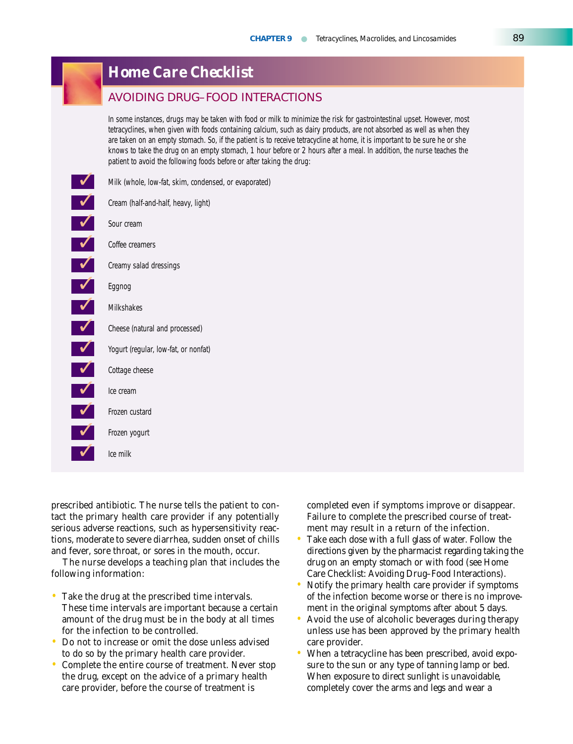# *Home Care Checklist*

## AVOIDING DRUG–FOOD INTERACTIONS

In some instances, drugs may be taken with food or milk to minimize the risk for gastrointestinal upset. However, most tetracyclines, when given with foods containing calcium, such as dairy products, are not absorbed as well as when they are taken on an empty stomach. So, if the patient is to receive tetracycline at home, it is important to be sure he or she knows to take the drug on an empty stomach, 1 hour before or 2 hours after a meal. In addition, the nurse teaches the patient to avoid the following foods before or after taking the drug:

| Milk (whole, low-fat, skim, condensed, or evaporated) |
|-------------------------------------------------------|
| Cream (half-and-half, heavy, light)                   |
| Sour cream                                            |
| Coffee creamers                                       |
| Creamy salad dressings                                |
| Eggnog                                                |
| <b>Milkshakes</b>                                     |
| Cheese (natural and processed)                        |
| Yogurt (regular, low-fat, or nonfat)                  |
| Cottage cheese                                        |
| Ice cream                                             |
| Frozen custard                                        |
| Frozen yogurt                                         |
| Ice milk                                              |

prescribed antibiotic. The nurse tells the patient to contact the primary health care provider if any potentially serious adverse reactions, such as hypersensitivity reactions, moderate to severe diarrhea, sudden onset of chills and fever, sore throat, or sores in the mouth, occur.

The nurse develops a teaching plan that includes the following information:

- Take the drug at the prescribed time intervals. These time intervals are important because a certain amount of the drug must be in the body at all times for the infection to be controlled.
- Do not to increase or omit the dose unless advised to do so by the primary health care provider.
- Complete the entire course of treatment. Never stop the drug, except on the advice of a primary health care provider, before the course of treatment is

completed even if symptoms improve or disappear. Failure to complete the prescribed course of treatment may result in a return of the infection.

- Take each dose with a full glass of water. Follow the directions given by the pharmacist regarding taking the drug on an empty stomach or with food (see Home Care Checklist: Avoiding Drug–Food Interactions).
- Notify the primary health care provider if symptoms of the infection become worse or there is no improvement in the original symptoms after about 5 days.
- Avoid the use of alcoholic beverages during therapy unless use has been approved by the primary health care provider.
- When a tetracycline has been prescribed, avoid exposure to the sun or any type of tanning lamp or bed. When exposure to direct sunlight is unavoidable, completely cover the arms and legs and wear a